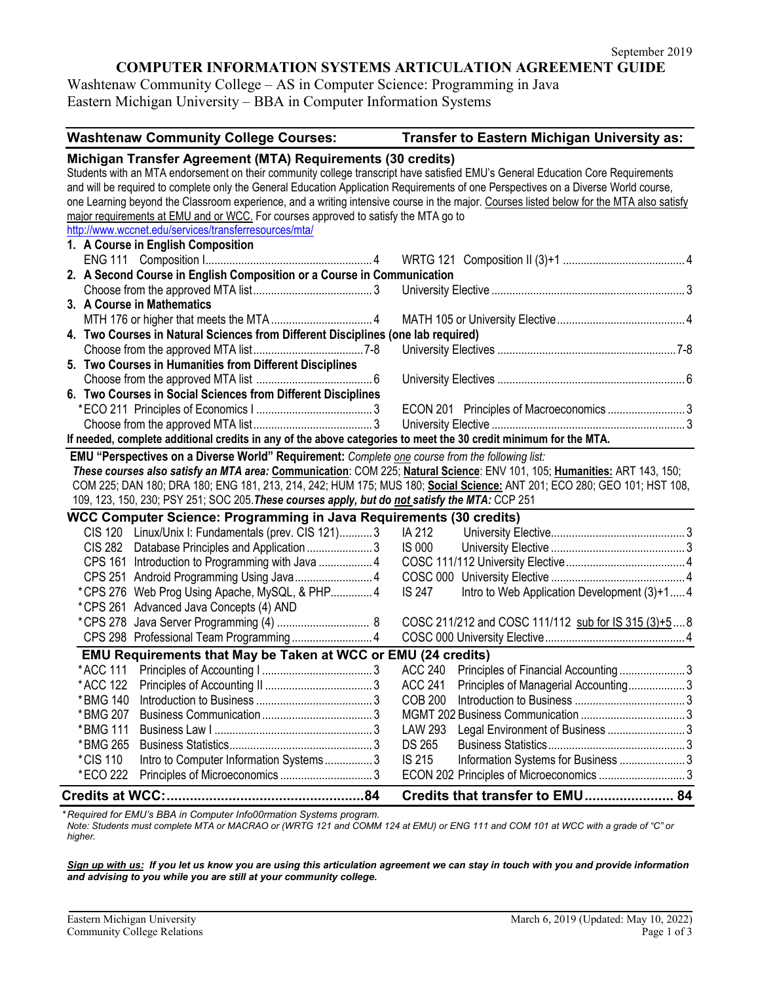## **COMPUTER INFORMATION SYSTEMS ARTICULATION AGREEMENT GUIDE**

Washtenaw Community College – AS in Computer Science: Programming in Java Eastern Michigan University – BBA in Computer Information Systems

| <b>Washtenaw Community College Courses:</b>                                                                                                                                                                                                                                                                                                                                                                                                                                                                                                                                                                                                                             | Transfer to Eastern Michigan University as:                  |  |  |
|-------------------------------------------------------------------------------------------------------------------------------------------------------------------------------------------------------------------------------------------------------------------------------------------------------------------------------------------------------------------------------------------------------------------------------------------------------------------------------------------------------------------------------------------------------------------------------------------------------------------------------------------------------------------------|--------------------------------------------------------------|--|--|
| Michigan Transfer Agreement (MTA) Requirements (30 credits)<br>Students with an MTA endorsement on their community college transcript have satisfied EMU's General Education Core Requirements<br>and will be required to complete only the General Education Application Requirements of one Perspectives on a Diverse World course,<br>one Learning beyond the Classroom experience, and a writing intensive course in the major. Courses listed below for the MTA also satisfy<br>major requirements at EMU and or WCC. For courses approved to satisfy the MTA go to<br>http://www.wccnet.edu/services/transferresources/mta/<br>1. A Course in English Composition |                                                              |  |  |
|                                                                                                                                                                                                                                                                                                                                                                                                                                                                                                                                                                                                                                                                         |                                                              |  |  |
| 2. A Second Course in English Composition or a Course in Communication                                                                                                                                                                                                                                                                                                                                                                                                                                                                                                                                                                                                  |                                                              |  |  |
|                                                                                                                                                                                                                                                                                                                                                                                                                                                                                                                                                                                                                                                                         |                                                              |  |  |
| 3. A Course in Mathematics                                                                                                                                                                                                                                                                                                                                                                                                                                                                                                                                                                                                                                              |                                                              |  |  |
|                                                                                                                                                                                                                                                                                                                                                                                                                                                                                                                                                                                                                                                                         |                                                              |  |  |
| 4. Two Courses in Natural Sciences from Different Disciplines (one lab required)                                                                                                                                                                                                                                                                                                                                                                                                                                                                                                                                                                                        |                                                              |  |  |
|                                                                                                                                                                                                                                                                                                                                                                                                                                                                                                                                                                                                                                                                         |                                                              |  |  |
| 5. Two Courses in Humanities from Different Disciplines                                                                                                                                                                                                                                                                                                                                                                                                                                                                                                                                                                                                                 |                                                              |  |  |
|                                                                                                                                                                                                                                                                                                                                                                                                                                                                                                                                                                                                                                                                         |                                                              |  |  |
| 6. Two Courses in Social Sciences from Different Disciplines                                                                                                                                                                                                                                                                                                                                                                                                                                                                                                                                                                                                            |                                                              |  |  |
|                                                                                                                                                                                                                                                                                                                                                                                                                                                                                                                                                                                                                                                                         | ECON 201 Principles of Macroeconomics 3                      |  |  |
|                                                                                                                                                                                                                                                                                                                                                                                                                                                                                                                                                                                                                                                                         |                                                              |  |  |
| If needed, complete additional credits in any of the above categories to meet the 30 credit minimum for the MTA.                                                                                                                                                                                                                                                                                                                                                                                                                                                                                                                                                        |                                                              |  |  |
| EMU "Perspectives on a Diverse World" Requirement: Complete one course from the following list:<br>These courses also satisfy an MTA area: Communication: COM 225; Natural Science: ENV 101, 105; Humanities: ART 143, 150;<br>COM 225; DAN 180; DRA 180; ENG 181, 213, 214, 242; HUM 175; MUS 180; Social Science: ANT 201; ECO 280; GEO 101; HST 108,<br>109, 123, 150, 230; PSY 251; SOC 205. These courses apply, but do not satisfy the MTA: CCP 251                                                                                                                                                                                                               |                                                              |  |  |
| WCC Computer Science: Programming in Java Requirements (30 credits)                                                                                                                                                                                                                                                                                                                                                                                                                                                                                                                                                                                                     |                                                              |  |  |
| CIS 120 Linux/Unix I: Fundamentals (prev. CIS 121)3                                                                                                                                                                                                                                                                                                                                                                                                                                                                                                                                                                                                                     | IA 212                                                       |  |  |
| CIS 282 Database Principles and Application 3                                                                                                                                                                                                                                                                                                                                                                                                                                                                                                                                                                                                                           | <b>IS 000</b>                                                |  |  |
|                                                                                                                                                                                                                                                                                                                                                                                                                                                                                                                                                                                                                                                                         |                                                              |  |  |
|                                                                                                                                                                                                                                                                                                                                                                                                                                                                                                                                                                                                                                                                         |                                                              |  |  |
| * CPS 276 Web Prog Using Apache, MySQL, & PHP 4                                                                                                                                                                                                                                                                                                                                                                                                                                                                                                                                                                                                                         | <b>IS 247</b><br>Intro to Web Application Development (3)+14 |  |  |
| *CPS 261 Advanced Java Concepts (4) AND                                                                                                                                                                                                                                                                                                                                                                                                                                                                                                                                                                                                                                 |                                                              |  |  |
|                                                                                                                                                                                                                                                                                                                                                                                                                                                                                                                                                                                                                                                                         | COSC 211/212 and COSC 111/112 sub for IS 315 (3)+58          |  |  |
|                                                                                                                                                                                                                                                                                                                                                                                                                                                                                                                                                                                                                                                                         |                                                              |  |  |
| EMU Requirements that May be Taken at WCC or EMU (24 credits)                                                                                                                                                                                                                                                                                                                                                                                                                                                                                                                                                                                                           |                                                              |  |  |
|                                                                                                                                                                                                                                                                                                                                                                                                                                                                                                                                                                                                                                                                         | ACC 240 Principles of Financial Accounting3                  |  |  |
|                                                                                                                                                                                                                                                                                                                                                                                                                                                                                                                                                                                                                                                                         | <b>ACC 241</b><br>Principles of Managerial Accounting 3      |  |  |
| *BMG 140                                                                                                                                                                                                                                                                                                                                                                                                                                                                                                                                                                                                                                                                | COB 200                                                      |  |  |
| *BMG 207                                                                                                                                                                                                                                                                                                                                                                                                                                                                                                                                                                                                                                                                |                                                              |  |  |
| *BMG 111                                                                                                                                                                                                                                                                                                                                                                                                                                                                                                                                                                                                                                                                | Legal Environment of Business 3<br><b>LAW 293</b>            |  |  |
| *BMG 265                                                                                                                                                                                                                                                                                                                                                                                                                                                                                                                                                                                                                                                                | <b>DS 265</b>                                                |  |  |
| Intro to Computer Information Systems 3<br>*CIS 110                                                                                                                                                                                                                                                                                                                                                                                                                                                                                                                                                                                                                     | IS 215<br>Information Systems for Business  3                |  |  |
| *ECO 222                                                                                                                                                                                                                                                                                                                                                                                                                                                                                                                                                                                                                                                                | ECON 202 Principles of Microeconomics 3                      |  |  |
|                                                                                                                                                                                                                                                                                                                                                                                                                                                                                                                                                                                                                                                                         | Credits that transfer to EMU 84                              |  |  |

*\* Required for EMU's BBA in Computer Info00rmation Systems program.*

*Note: Students must complete MTA or MACRAO or (WRTG 121 and COMM 124 at EMU) or ENG 111 and COM 101 at WCC with a grade of "C" or higher.*

*Sign up with us: If you let us know you are using this articulation agreement we can stay in touch with you and provide information and advising to you while you are still at your community college.*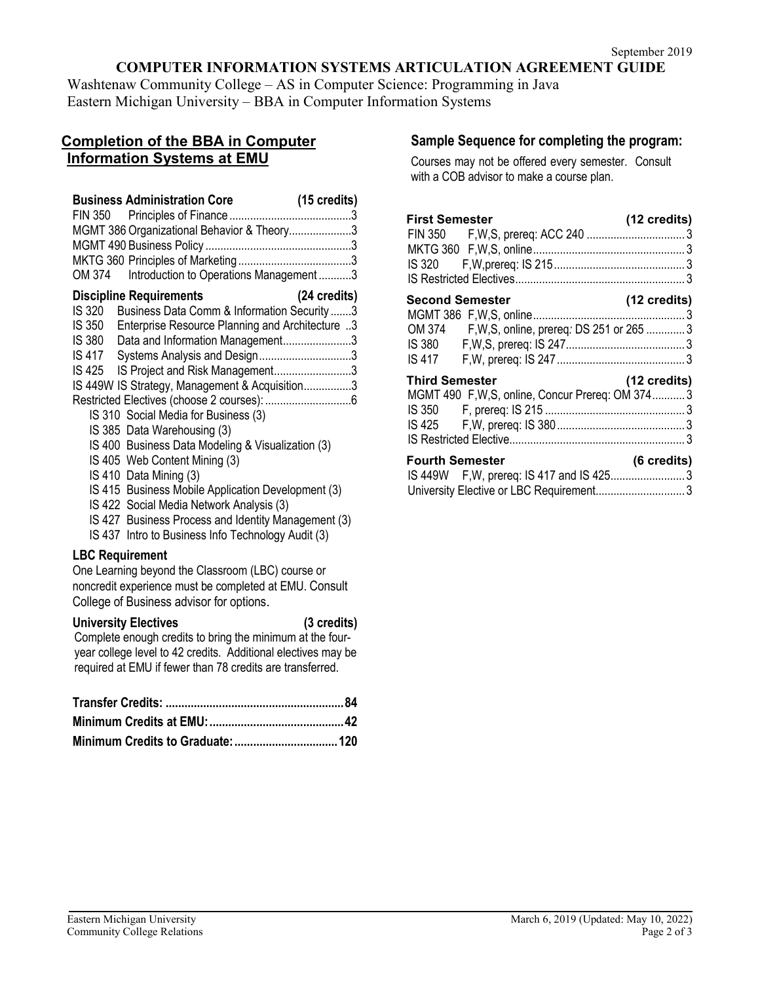# **COMPUTER INFORMATION SYSTEMS ARTICULATION AGREEMENT GUIDE**

Washtenaw Community College – AS in Computer Science: Programming in Java Eastern Michigan University – BBA in Computer Information Systems

# **Completion of the BBA in Computer Information Systems at EMU**

| MGMT 386 Organizational Behavior & Theory3<br>OM 374    Introduction to Operations Management 3                                                                                                                                                                                                                                                                                                                                                                                                                                                                                                                                                                                                                                                                 |              |
|-----------------------------------------------------------------------------------------------------------------------------------------------------------------------------------------------------------------------------------------------------------------------------------------------------------------------------------------------------------------------------------------------------------------------------------------------------------------------------------------------------------------------------------------------------------------------------------------------------------------------------------------------------------------------------------------------------------------------------------------------------------------|--------------|
| <b>Discipline Requirements</b><br>Business Data Comm & Information Security 3<br>IS 320<br>IS 350<br>Enterprise Resource Planning and Architecture 3<br><b>IS 380</b><br>Data and Information Management3<br>Systems Analysis and Design3<br><b>IS 417</b><br>IS Project and Risk Management3<br>IS 425<br>IS 449W IS Strategy, Management & Acquisition3<br>IS 310 Social Media for Business (3)<br>IS 385 Data Warehousing (3)<br>IS 400 Business Data Modeling & Visualization (3)<br>IS 405 Web Content Mining (3)<br>IS 410 Data Mining (3)<br>IS 415 Business Mobile Application Development (3)<br>IS 422 Social Media Network Analysis (3)<br>IS 427 Business Process and Identity Management (3)<br>IS 437 Intro to Business Info Technology Audit (3) | (24 credits) |
| <b>LBC Requirement</b><br>One Learning beyond the Classroom (LBC) course or<br>noncredit experience must be completed at EMU. Consult<br>College of Business advisor for options.<br><b>University Electives</b><br>Complete enough credits to bring the minimum at the four-<br>year college level to 42 credits. Additional electives may be<br>required at EMU if fewer than 78 credits are transferred.                                                                                                                                                                                                                                                                                                                                                     | (3 credits)  |

## **Sample Sequence for completing the program:**

Courses may not be offered every semester. Consult with a COB advisor to make a course plan.

| <b>First Semester</b>  |                                                  | (12 credits)           |
|------------------------|--------------------------------------------------|------------------------|
| <b>Second Semester</b> | OM 374 F, W, S, online, prereq: DS 251 or 265  3 | (12 credits)           |
| Third Semester         | MGMT 490 F, W, S, online, Concur Prereq: OM 3743 | $(12 \text{ credits})$ |
| <b>Fourth Semester</b> | IS 449W F, W, prereq: IS 417 and IS 4253         | (6 credits)            |